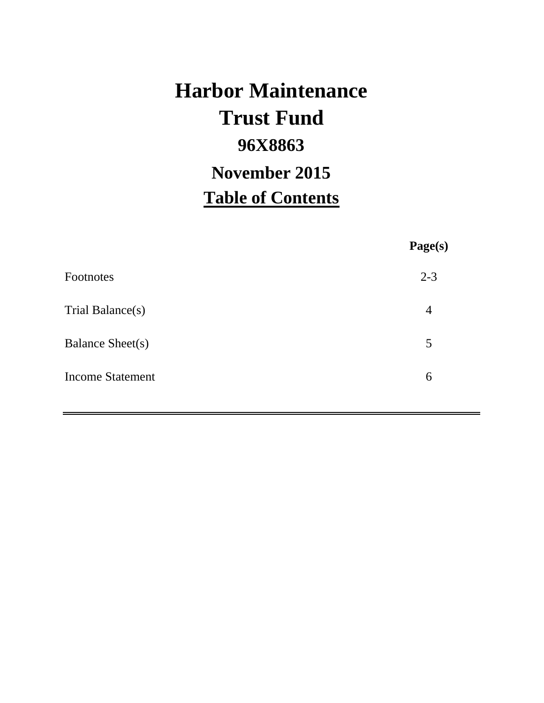# **Harbor Maintenance 96X8863 Table of Contents Trust Fund November 2015**

**Page(s)**

| <b>Footnotes</b>        | $2 - 3$ |
|-------------------------|---------|
| Trial Balance(s)        | 4       |
| <b>Balance Sheet(s)</b> | 5       |
| <b>Income Statement</b> | 6       |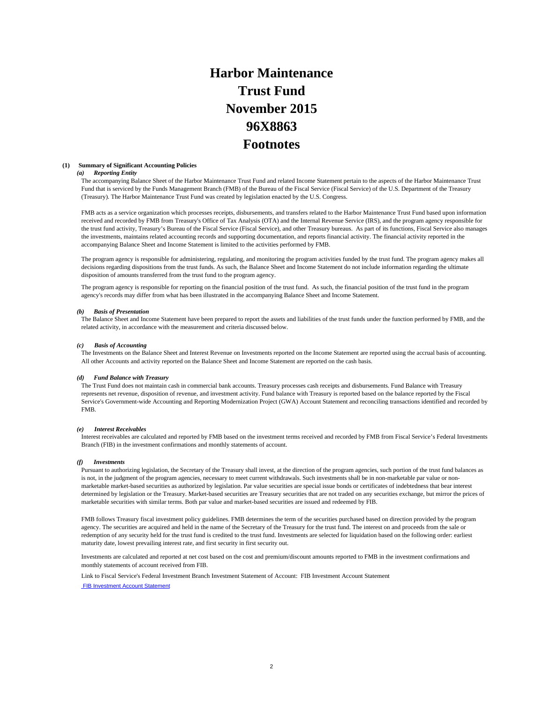## **Harbor Maintenance Trust Fund 96X8863 Footnotes November 2015**

#### **(1) Summary of Significant Accounting Policies**

#### *(a) Reporting Entity*

The accompanying Balance Sheet of the Harbor Maintenance Trust Fund and related Income Statement pertain to the aspects of the Harbor Maintenance Trust Fund that is serviced by the Funds Management Branch (FMB) of the Bureau of the Fiscal Service (Fiscal Service) of the U.S. Department of the Treasury (Treasury). The Harbor Maintenance Trust Fund was created by legislation enacted by the U.S. Congress.

FMB acts as a service organization which processes receipts, disbursements, and transfers related to the Harbor Maintenance Trust Fund based upon information received and recorded by FMB from Treasury's Office of Tax Analysis (OTA) and the Internal Revenue Service (IRS), and the program agency responsible for the trust fund activity, Treasury's Bureau of the Fiscal Service (Fiscal Service), and other Treasury bureaus. As part of its functions, Fiscal Service also manages the investments, maintains related accounting records and supporting documentation, and reports financial activity. The financial activity reported in the accompanying Balance Sheet and Income Statement is limited to the activities performed by FMB.

The program agency is responsible for administering, regulating, and monitoring the program activities funded by the trust fund. The program agency makes all decisions regarding dispositions from the trust funds. As such, the Balance Sheet and Income Statement do not include information regarding the ultimate disposition of amounts transferred from the trust fund to the program agency.

The program agency is responsible for reporting on the financial position of the trust fund. As such, the financial position of the trust fund in the program agency's records may differ from what has been illustrated in the accompanying Balance Sheet and Income Statement.

#### *(b) Basis of Presentation*

The Balance Sheet and Income Statement have been prepared to report the assets and liabilities of the trust funds under the function performed by FMB, and the related activity, in accordance with the measurement and criteria discussed below.

#### *(c) Basis of Accounting*

The Investments on the Balance Sheet and Interest Revenue on Investments reported on the Income Statement are reported using the accrual basis of accounting. All other Accounts and activity reported on the Balance Sheet and Income Statement are reported on the cash basis.

#### *(d) Fund Balance with Treasury*

The Trust Fund does not maintain cash in commercial bank accounts. Treasury processes cash receipts and disbursements. Fund Balance with Treasury represents net revenue, disposition of revenue, and investment activity. Fund balance with Treasury is reported based on the balance reported by the Fiscal Service's Government-wide Accounting and Reporting Modernization Project (GWA) Account Statement and reconciling transactions identified and recorded by FMB.

#### *(e) Interest Receivables*

Interest receivables are calculated and reported by FMB based on the investment terms received and recorded by FMB from Fiscal Service's Federal Investments Branch (FIB) in the investment confirmations and monthly statements of account.

#### *(f) Investments*

Pursuant to authorizing legislation, the Secretary of the Treasury shall invest, at the direction of the program agencies, such portion of the trust fund balances as is not, in the judgment of the program agencies, necessary to meet current withdrawals. Such investments shall be in non-marketable par value or nonmarketable market-based securities as authorized by legislation. Par value securities are special issue bonds or certificates of indebtedness that bear interest determined by legislation or the Treasury. Market-based securities are Treasury securities that are not traded on any securities exchange, but mirror the prices of marketable securities with similar terms. Both par value and market-based securities are issued and redeemed by FIB.

FMB follows Treasury fiscal investment policy guidelines. FMB determines the term of the securities purchased based on direction provided by the program agency. The securities are acquired and held in the name of the Secretary of the Treasury for the trust fund. The interest on and proceeds from the sale or redemption of any security held for the trust fund is credited to the trust fund. Investments are selected for liquidation based on the following order: earliest maturity date, lowest prevailing interest rate, and first security in first security out.

Investments are calculated and reported at net cost based on the cost and premium/discount amounts reported to FMB in the investment confirmations and monthly statements of account received from FIB.

Link to Fiscal Service's Federal Investment Branch Investment Statement of Account: FIB Investment Account Statement FIB Investment Account Statement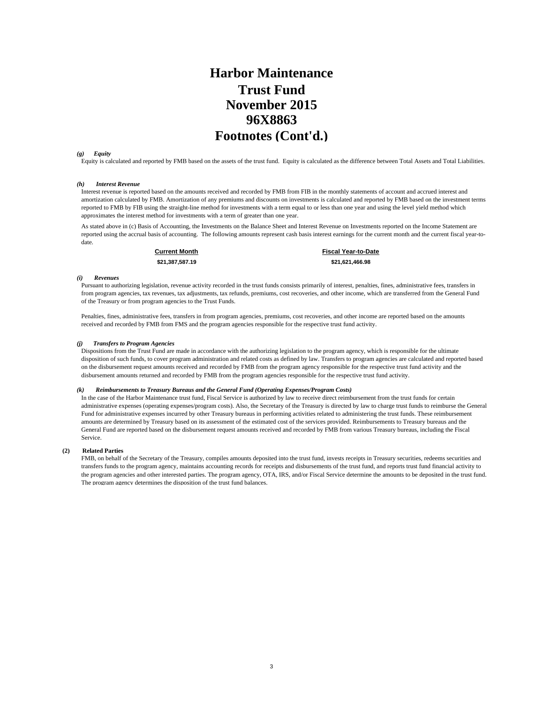### **Harbor Maintenance Trust Fund 96X8863 Footnotes (Cont'd.) November 2015**

#### *(g) Equity*

Equity is calculated and reported by FMB based on the assets of the trust fund. Equity is calculated as the difference between Total Assets and Total Liabilities.

#### *(h) Interest Revenue*

Interest revenue is reported based on the amounts received and recorded by FMB from FIB in the monthly statements of account and accrued interest and amortization calculated by FMB. Amortization of any premiums and discounts on investments is calculated and reported by FMB based on the investment terms reported to FMB by FIB using the straight-line method for investments with a term equal to or less than one year and using the level yield method which approximates the interest method for investments with a term of greater than one year.

As stated above in (c) Basis of Accounting, the Investments on the Balance Sheet and Interest Revenue on Investments reported on the Income Statement are reported using the accrual basis of accounting. The following amounts represent cash basis interest earnings for the current month and the current fiscal year-todate.

**Current Month Fiscal Year-to-Date \$21,387,587.19 \$21,621,466.98** 

#### *(i) Revenues*

Pursuant to authorizing legislation, revenue activity recorded in the trust funds consists primarily of interest, penalties, fines, administrative fees, transfers in from program agencies, tax revenues, tax adjustments, tax refunds, premiums, cost recoveries, and other income, which are transferred from the General Fund of the Treasury or from program agencies to the Trust Funds.

Penalties, fines, administrative fees, transfers in from program agencies, premiums, cost recoveries, and other income are reported based on the amounts received and recorded by FMB from FMS and the program agencies responsible for the respective trust fund activity.

#### *(j) Transfers to Program Agencies*

Dispositions from the Trust Fund are made in accordance with the authorizing legislation to the program agency, which is responsible for the ultimate disposition of such funds, to cover program administration and related costs as defined by law. Transfers to program agencies are calculated and reported based on the disbursement request amounts received and recorded by FMB from the program agency responsible for the respective trust fund activity and the disbursement amounts returned and recorded by FMB from the program agencies responsible for the respective trust fund activity.

#### *(k) Reimbursements to Treasury Bureaus and the General Fund (Operating Expenses/Program Costs)*

In the case of the Harbor Maintenance trust fund, Fiscal Service is authorized by law to receive direct reimbursement from the trust funds for certain administrative expenses (operating expenses/program costs). Also, the Secretary of the Treasury is directed by law to charge trust funds to reimburse the General Fund for administrative expenses incurred by other Treasury bureaus in performing activities related to administering the trust funds. These reimbursement amounts are determined by Treasury based on its assessment of the estimated cost of the services provided. Reimbursements to Treasury bureaus and the General Fund are reported based on the disbursement request amounts received and recorded by FMB from various Treasury bureaus, including the Fiscal Service.

#### **(2) Related Parties**

FMB, on behalf of the Secretary of the Treasury, compiles amounts deposited into the trust fund, invests receipts in Treasury securities, redeems securities and transfers funds to the program agency, maintains accounting records for receipts and disbursements of the trust fund, and reports trust fund financial activity to the program agencies and other interested parties. The program agency, OTA, IRS, and/or Fiscal Service determine the amounts to be deposited in the trust fund. The program agency determines the disposition of the trust fund balances.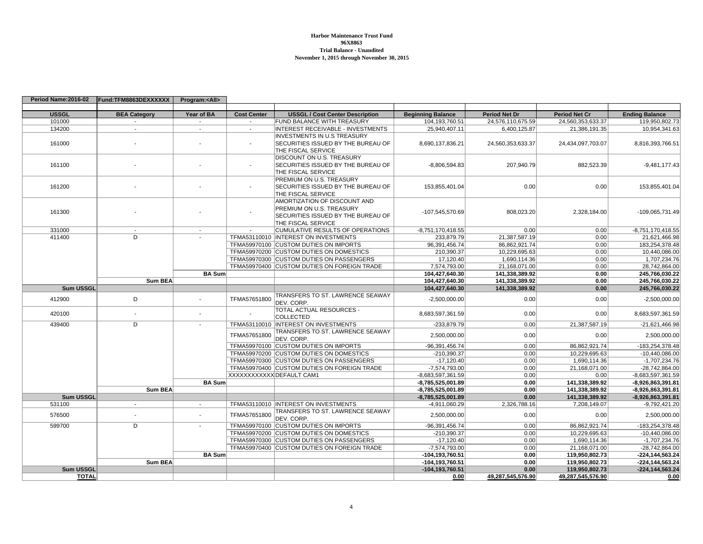#### **Harbor Maintenance Trust Fund 96X8863 Trial Balance - UnauditedNovember 1, 2015 through November 30, 2015**

| <b>USSGL</b><br><b>BEA Category</b><br>Year of BA<br><b>Cost Center</b><br><b>USSGL / Cost Center Description</b><br><b>Beginning Balance</b><br><b>Period Net Dr</b><br><b>Period Net Cr</b><br>101000<br>FUND BALANCE WITH TREASURY<br>104,193,760.51<br>24,576,110,675.59<br>24,560,353,633.37<br>$\sim$<br>$\sim$<br>134200<br>INTEREST RECEIVABLE - INVESTMENTS<br>25.940.407.11<br>6,400,125.87<br>21,386,191.35<br>$\sim$<br>$\sim$<br>$\sim$<br><b>INVESTMENTS IN U.S TREASURY</b><br>SECURITIES ISSUED BY THE BUREAU OF<br>24,560,353,633.37<br>161000<br>8,690,137,836.21<br>24,434,097,703.07<br>THE FISCAL SERVICE<br><b>DISCOUNT ON U.S. TREASURY</b><br>SECURITIES ISSUED BY THE BUREAU OF<br>207,940.79<br>882,523.39<br>161100<br>$-8,806,594.83$<br>THE FISCAL SERVICE<br>PREMIUM ON U.S. TREASURY | <b>Ending Balance</b><br>119,950,802.73<br>10.954.341.63<br>8,816,393,766.51<br>$-9,481,177.43$<br>153,855,401.04 |
|---------------------------------------------------------------------------------------------------------------------------------------------------------------------------------------------------------------------------------------------------------------------------------------------------------------------------------------------------------------------------------------------------------------------------------------------------------------------------------------------------------------------------------------------------------------------------------------------------------------------------------------------------------------------------------------------------------------------------------------------------------------------------------------------------------------------|-------------------------------------------------------------------------------------------------------------------|
|                                                                                                                                                                                                                                                                                                                                                                                                                                                                                                                                                                                                                                                                                                                                                                                                                     |                                                                                                                   |
|                                                                                                                                                                                                                                                                                                                                                                                                                                                                                                                                                                                                                                                                                                                                                                                                                     |                                                                                                                   |
|                                                                                                                                                                                                                                                                                                                                                                                                                                                                                                                                                                                                                                                                                                                                                                                                                     |                                                                                                                   |
|                                                                                                                                                                                                                                                                                                                                                                                                                                                                                                                                                                                                                                                                                                                                                                                                                     |                                                                                                                   |
|                                                                                                                                                                                                                                                                                                                                                                                                                                                                                                                                                                                                                                                                                                                                                                                                                     |                                                                                                                   |
|                                                                                                                                                                                                                                                                                                                                                                                                                                                                                                                                                                                                                                                                                                                                                                                                                     |                                                                                                                   |
|                                                                                                                                                                                                                                                                                                                                                                                                                                                                                                                                                                                                                                                                                                                                                                                                                     |                                                                                                                   |
|                                                                                                                                                                                                                                                                                                                                                                                                                                                                                                                                                                                                                                                                                                                                                                                                                     |                                                                                                                   |
|                                                                                                                                                                                                                                                                                                                                                                                                                                                                                                                                                                                                                                                                                                                                                                                                                     |                                                                                                                   |
|                                                                                                                                                                                                                                                                                                                                                                                                                                                                                                                                                                                                                                                                                                                                                                                                                     |                                                                                                                   |
|                                                                                                                                                                                                                                                                                                                                                                                                                                                                                                                                                                                                                                                                                                                                                                                                                     |                                                                                                                   |
| 161200<br>SECURITIES ISSUED BY THE BUREAU OF<br>153,855,401.04<br>0.00<br>0.00                                                                                                                                                                                                                                                                                                                                                                                                                                                                                                                                                                                                                                                                                                                                      |                                                                                                                   |
| THE FISCAL SERVICE                                                                                                                                                                                                                                                                                                                                                                                                                                                                                                                                                                                                                                                                                                                                                                                                  |                                                                                                                   |
| AMORTIZATION OF DISCOUNT AND                                                                                                                                                                                                                                                                                                                                                                                                                                                                                                                                                                                                                                                                                                                                                                                        |                                                                                                                   |
| <b>PREMIUM ON U.S. TREASURY</b>                                                                                                                                                                                                                                                                                                                                                                                                                                                                                                                                                                                                                                                                                                                                                                                     |                                                                                                                   |
| 161300<br>-107,545,570.69<br>808,023.20<br>2,328,184.00<br>SECURITIES ISSUED BY THE BUREAU OF                                                                                                                                                                                                                                                                                                                                                                                                                                                                                                                                                                                                                                                                                                                       | -109,065,731.49                                                                                                   |
| THE FISCAL SERVICE                                                                                                                                                                                                                                                                                                                                                                                                                                                                                                                                                                                                                                                                                                                                                                                                  |                                                                                                                   |
| CUMULATIVE RESULTS OF OPERATIONS<br>331000<br>-8,751,170,418.55<br>0.00<br>0.00                                                                                                                                                                                                                                                                                                                                                                                                                                                                                                                                                                                                                                                                                                                                     | $-8,751,170,418.55$                                                                                               |
| $\overline{D}$<br>TFMA53110010  INTEREST ON INVESTMENTS<br>21,387,587.19<br>411400<br>233,879.79<br>0.00                                                                                                                                                                                                                                                                                                                                                                                                                                                                                                                                                                                                                                                                                                            | 21,621,466.98                                                                                                     |
| TFMA59970100 CUSTOM DUTIES ON IMPORTS<br>96,391,456.74<br>86,862,921.74<br>0.00                                                                                                                                                                                                                                                                                                                                                                                                                                                                                                                                                                                                                                                                                                                                     | 183,254,378.48                                                                                                    |
| TFMA59970200 CUSTOM DUTIES ON DOMESTICS<br>210,390.37<br>10,229,695.63<br>0.00                                                                                                                                                                                                                                                                                                                                                                                                                                                                                                                                                                                                                                                                                                                                      | 10,440,086.00                                                                                                     |
| TFMA59970300 CUSTOM DUTIES ON PASSENGERS<br>17,120.40<br>1.690.114.36<br>0.00                                                                                                                                                                                                                                                                                                                                                                                                                                                                                                                                                                                                                                                                                                                                       | 1.707.234.76                                                                                                      |
| TFMA59970400 CUSTOM DUTIES ON FOREIGN TRADE<br>7,574,793.00<br>21,168,071.00<br>0.00                                                                                                                                                                                                                                                                                                                                                                                                                                                                                                                                                                                                                                                                                                                                | 28,742,864.00                                                                                                     |
| 141,338,389.92<br><b>BA Sum</b><br>104,427,640.30<br>0.00                                                                                                                                                                                                                                                                                                                                                                                                                                                                                                                                                                                                                                                                                                                                                           | 245.766.030.22                                                                                                    |
| 104,427,640.30<br>141,338,389.92<br><b>Sum BEA</b><br>0.00                                                                                                                                                                                                                                                                                                                                                                                                                                                                                                                                                                                                                                                                                                                                                          | 245,766,030.22                                                                                                    |
| <b>Sum USSGL</b><br>104,427,640.30<br>141,338,389.92<br>0.00                                                                                                                                                                                                                                                                                                                                                                                                                                                                                                                                                                                                                                                                                                                                                        | 245,766,030.22                                                                                                    |
| TRANSFERS TO ST. LAWRENCE SEAWAY<br>D<br>TFMA57651800<br>412900<br>$-2.500.000.00$<br>0.00<br>0.00                                                                                                                                                                                                                                                                                                                                                                                                                                                                                                                                                                                                                                                                                                                  | $-2.500.000.00$                                                                                                   |
| $\overline{\phantom{a}}$<br>DEV. CORP.                                                                                                                                                                                                                                                                                                                                                                                                                                                                                                                                                                                                                                                                                                                                                                              |                                                                                                                   |
| TOTAL ACTUAL RESOURCES -                                                                                                                                                                                                                                                                                                                                                                                                                                                                                                                                                                                                                                                                                                                                                                                            |                                                                                                                   |
| 0.00<br>420100<br>8,683,597,361.59<br>0.00<br>$\blacksquare$<br><b>COLLECTED</b>                                                                                                                                                                                                                                                                                                                                                                                                                                                                                                                                                                                                                                                                                                                                    | 8,683,597,361.59                                                                                                  |
| $\overline{D}$<br>439400<br>TFMA53110010  INTEREST ON INVESTMENTS<br>-233,879.79<br>0.00<br>21,387,587.19<br>$\sim$                                                                                                                                                                                                                                                                                                                                                                                                                                                                                                                                                                                                                                                                                                 | $-21,621,466.98$                                                                                                  |
| TRANSFERS TO ST. LAWRENCE SEAWAY                                                                                                                                                                                                                                                                                                                                                                                                                                                                                                                                                                                                                                                                                                                                                                                    |                                                                                                                   |
| 0.00<br>TFMA57651800<br>2,500,000.00<br>0.00<br>DEV. CORP.                                                                                                                                                                                                                                                                                                                                                                                                                                                                                                                                                                                                                                                                                                                                                          | 2,500,000.00                                                                                                      |
| TFMA59970100 CUSTOM DUTIES ON IMPORTS<br>-96,391,456.74<br>0.00<br>86,862,921.74                                                                                                                                                                                                                                                                                                                                                                                                                                                                                                                                                                                                                                                                                                                                    | -183,254,378.48                                                                                                   |
| TFMA59970200 CUSTOM DUTIES ON DOMESTICS<br>-210,390.37<br>0.00<br>10,229,695.63                                                                                                                                                                                                                                                                                                                                                                                                                                                                                                                                                                                                                                                                                                                                     | $-10,440,086.00$                                                                                                  |
| TFMA59970300 CUSTOM DUTIES ON PASSENGERS<br>$-17,120.40$<br>0.00<br>1,690,114.36                                                                                                                                                                                                                                                                                                                                                                                                                                                                                                                                                                                                                                                                                                                                    | $-1,707,234.76$                                                                                                   |
| TFMA59970400 CUSTOM DUTIES ON FOREIGN TRADE<br>-7,574,793.00<br>0.00<br>21,168,071.00                                                                                                                                                                                                                                                                                                                                                                                                                                                                                                                                                                                                                                                                                                                               | -28,742,864.00                                                                                                    |
| XXXXXXXXXXX DEFAULT CAM1<br>$-8,683,597,361.59$<br>0.00<br>0.00                                                                                                                                                                                                                                                                                                                                                                                                                                                                                                                                                                                                                                                                                                                                                     | $-8,683,597,361.59$                                                                                               |
| <b>BA</b> Sum<br>0.00<br>141,338,389.92<br>-8,785,525,001.89                                                                                                                                                                                                                                                                                                                                                                                                                                                                                                                                                                                                                                                                                                                                                        | -8,926,863,391.81                                                                                                 |
| <b>Sum BEA</b><br>141,338,389.92<br>-8,785,525,001.89<br>0.00                                                                                                                                                                                                                                                                                                                                                                                                                                                                                                                                                                                                                                                                                                                                                       | $-8,926,863,391.81$                                                                                               |
| <b>Sum USSGL</b><br>$-8,785,525,001.89$<br>0.00<br>141,338,389.92                                                                                                                                                                                                                                                                                                                                                                                                                                                                                                                                                                                                                                                                                                                                                   | -8,926,863,391.81                                                                                                 |
| TFMA53110010  INTEREST ON INVESTMENTS<br>531100<br>-4.911.060.29<br>2,326,788.16<br>7,208,149.07<br>$\sim$<br>$\sim$                                                                                                                                                                                                                                                                                                                                                                                                                                                                                                                                                                                                                                                                                                | $-9,792,421.20$                                                                                                   |
| <b>TRANSFERS TO ST. LAWRENCE SEAWAY</b>                                                                                                                                                                                                                                                                                                                                                                                                                                                                                                                                                                                                                                                                                                                                                                             |                                                                                                                   |
| 576500<br>TFMA57651800<br>0.00<br>0.00<br>2,500,000.00<br>DEV. CORP.                                                                                                                                                                                                                                                                                                                                                                                                                                                                                                                                                                                                                                                                                                                                                | 2,500,000.00                                                                                                      |
| 599700<br>D<br>TFMA59970100 CUSTOM DUTIES ON IMPORTS<br>-96,391,456.74<br>0.00<br>86,862,921.74<br>÷.                                                                                                                                                                                                                                                                                                                                                                                                                                                                                                                                                                                                                                                                                                               | -183,254,378.48                                                                                                   |
| TFMA59970200 CUSTOM DUTIES ON DOMESTICS<br>$-210,390.37$<br>0.00<br>10,229,695.63                                                                                                                                                                                                                                                                                                                                                                                                                                                                                                                                                                                                                                                                                                                                   | $-10,440,086.00$                                                                                                  |
| TFMA59970300 CUSTOM DUTIES ON PASSENGERS<br>$-17,120.40$<br>0.00<br>1,690,114.36                                                                                                                                                                                                                                                                                                                                                                                                                                                                                                                                                                                                                                                                                                                                    | $-1,707,234.76$                                                                                                   |
| TFMA59970400 CUSTOM DUTIES ON FOREIGN TRADE<br>-7,574,793.00<br>0.00<br>21,168,071.00                                                                                                                                                                                                                                                                                                                                                                                                                                                                                                                                                                                                                                                                                                                               | -28,742,864.00                                                                                                    |
| 119,950,802.73<br><b>BA Sum</b><br>-104,193,760.51<br>0.00                                                                                                                                                                                                                                                                                                                                                                                                                                                                                                                                                                                                                                                                                                                                                          | $-224, 144, 563.24$                                                                                               |
| <b>Sum BEA</b><br>-104,193,760.51<br>0.00<br>119,950,802.73                                                                                                                                                                                                                                                                                                                                                                                                                                                                                                                                                                                                                                                                                                                                                         | $-224, 144, 563.24$                                                                                               |
| <b>Sum USSGL</b><br>119.950.802.73<br>-104.193.760.51<br>0.00                                                                                                                                                                                                                                                                                                                                                                                                                                                                                                                                                                                                                                                                                                                                                       | $-224.144.563.24$                                                                                                 |
| <b>TOTAL</b><br>49,287,545,576.90<br>49,287,545,576.90<br>0.00                                                                                                                                                                                                                                                                                                                                                                                                                                                                                                                                                                                                                                                                                                                                                      | 0.00                                                                                                              |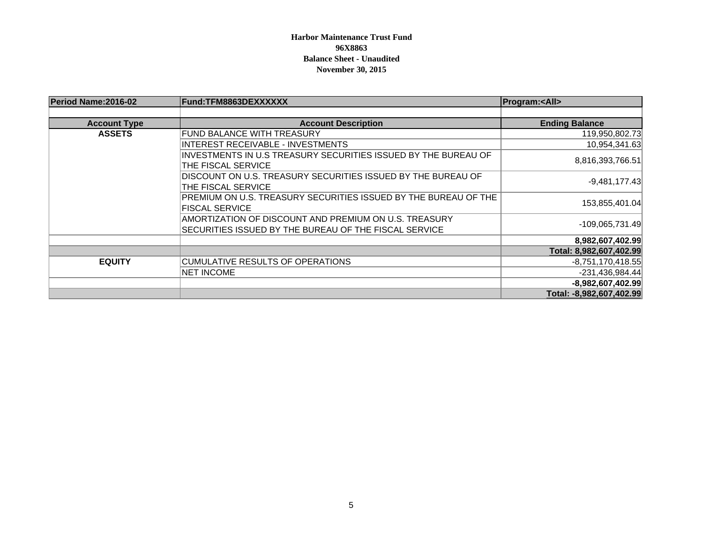### **Harbor Maintenance Trust Fund 96X8863Balance Sheet - Unaudited November 30, 2015**

| Period Name: 2016-02 | Fund:TFM8863DEXXXXXX                                                                                           | <b>Program:<all></all></b> |  |
|----------------------|----------------------------------------------------------------------------------------------------------------|----------------------------|--|
|                      |                                                                                                                |                            |  |
| <b>Account Type</b>  | <b>Account Description</b>                                                                                     | <b>Ending Balance</b>      |  |
| <b>ASSETS</b>        | FUND BALANCE WITH TREASURY                                                                                     | 119,950,802.73             |  |
|                      | INTEREST RECEIVABLE - INVESTMENTS                                                                              | 10,954,341.63              |  |
|                      | INVESTMENTS IN U.S TREASURY SECURITIES ISSUED BY THE BUREAU OF                                                 | 8,816,393,766.51           |  |
|                      | THE FISCAL SERVICE                                                                                             |                            |  |
|                      | DISCOUNT ON U.S. TREASURY SECURITIES ISSUED BY THE BUREAU OF<br>THE FISCAL SERVICE                             | $-9,481,177.43$            |  |
|                      | PREMIUM ON U.S. TREASURY SECURITIES ISSUED BY THE BUREAU OF THE<br><b>FISCAL SERVICE</b>                       | 153,855,401.04             |  |
|                      | AMORTIZATION OF DISCOUNT AND PREMIUM ON U.S. TREASURY<br>SECURITIES ISSUED BY THE BUREAU OF THE FISCAL SERVICE | -109,065,731.49            |  |
|                      |                                                                                                                | 8,982,607,402.99           |  |
|                      |                                                                                                                | Total: 8,982,607,402.99    |  |
| <b>EQUITY</b>        | CUMULATIVE RESULTS OF OPERATIONS                                                                               | $-8,751,170,418.55$        |  |
|                      | <b>NET INCOME</b>                                                                                              | -231,436,984.44            |  |
|                      |                                                                                                                | -8,982,607,402.99          |  |
|                      |                                                                                                                | Total: -8,982,607,402.99   |  |